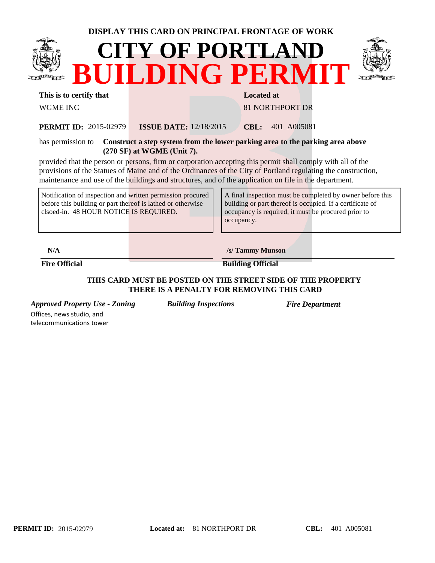|                                                                                                                                                                     | <b>DISPLAY THIS CARD ON PRINCIPAL FRONTAGE OF WORK</b>                                                                                                                                                                                                                                                                                 |                   |                                                                                                                                                                               |  |  |  |  |
|---------------------------------------------------------------------------------------------------------------------------------------------------------------------|----------------------------------------------------------------------------------------------------------------------------------------------------------------------------------------------------------------------------------------------------------------------------------------------------------------------------------------|-------------------|-------------------------------------------------------------------------------------------------------------------------------------------------------------------------------|--|--|--|--|
| <b>CITY OF PORTLAND</b><br>BUILDING PERMIT                                                                                                                          |                                                                                                                                                                                                                                                                                                                                        |                   |                                                                                                                                                                               |  |  |  |  |
| This is to certify that                                                                                                                                             |                                                                                                                                                                                                                                                                                                                                        | <b>Located at</b> |                                                                                                                                                                               |  |  |  |  |
| <b>WGME INC</b>                                                                                                                                                     |                                                                                                                                                                                                                                                                                                                                        |                   | <b>81 NORTHPORT DR</b>                                                                                                                                                        |  |  |  |  |
| <b>PERMIT ID: 2015-02979</b>                                                                                                                                        | <b>ISSUE DATE:</b> $12/18/2015$                                                                                                                                                                                                                                                                                                        |                   | <b>CBL:</b> 401 A005081                                                                                                                                                       |  |  |  |  |
| has permission to                                                                                                                                                   | Construct a step system from the lower parking area to the parking area above<br>$(270 SF)$ at WGME (Unit 7).                                                                                                                                                                                                                          |                   |                                                                                                                                                                               |  |  |  |  |
|                                                                                                                                                                     | provided that the person or persons, firm or corporation accepting this permit shall comply with all of the<br>provisions of the Statues of Maine and of the Ordinances of the City of Portland regulating the construction,<br>maintenance and use of the buildings and structures, and of the application on file in the department. |                   |                                                                                                                                                                               |  |  |  |  |
| Notification of inspection and written permission procured<br>before this building or part thereof is lathed or otherwise<br>clsoed-in. 48 HOUR NOTICE IS REQUIRED. |                                                                                                                                                                                                                                                                                                                                        | occupancy.        | A final inspection must be completed by owner before this<br>building or part thereof is occupied. If a certificate of<br>occupancy is required, it must be procured prior to |  |  |  |  |
|                                                                                                                                                                     |                                                                                                                                                                                                                                                                                                                                        |                   |                                                                                                                                                                               |  |  |  |  |

**N/A /s/ Tammy Munson**

**Fire Official Building Official** 

## **THIS CARD MUST BE POSTED ON THE STREET SIDE OF THE PROPERTY THERE IS A PENALTY FOR REMOVING THIS CARD**

*Approved Property Use - Zoning Building Inspections Fire Department* Offices, news studio, and

telecommunications tower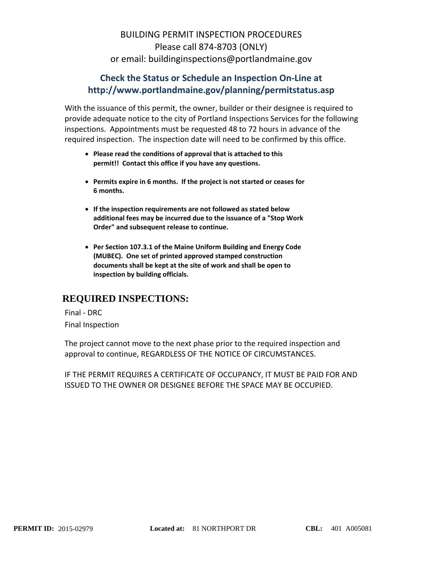## BUILDING PERMIT INSPECTION PROCEDURES Please call 874‐8703 (ONLY) or email: buildinginspections@portlandmaine.gov

## **Check the Status or Schedule an Inspection On‐Line at http://www.portlandmaine.gov/planning/permitstatus.asp**

With the issuance of this permit, the owner, builder or their designee is required to provide adequate notice to the city of Portland Inspections Services for the following inspections. Appointments must be requested 48 to 72 hours in advance of the required inspection. The inspection date will need to be confirmed by this office.

- **Please read the conditions of approval that is attached to this permit!! Contact this office if you have any questions.**
- **Permits expire in 6 months. If the project is not started or ceases for 6 months.**
- **If the inspection requirements are not followed as stated below additional fees may be incurred due to the issuance of a "Stop Work Order" and subsequent release to continue.**
- **Per Section 107.3.1 of the Maine Uniform Building and Energy Code (MUBEC). One set of printed approved stamped construction documents shall be kept at the site of work and shall be open to inspection by building officials.**

## **REQUIRED INSPECTIONS:**

Final ‐ DRC Final Inspection

The project cannot move to the next phase prior to the required inspection and approval to continue, REGARDLESS OF THE NOTICE OF CIRCUMSTANCES.

IF THE PERMIT REQUIRES A CERTIFICATE OF OCCUPANCY, IT MUST BE PAID FOR AND ISSUED TO THE OWNER OR DESIGNEE BEFORE THE SPACE MAY BE OCCUPIED.